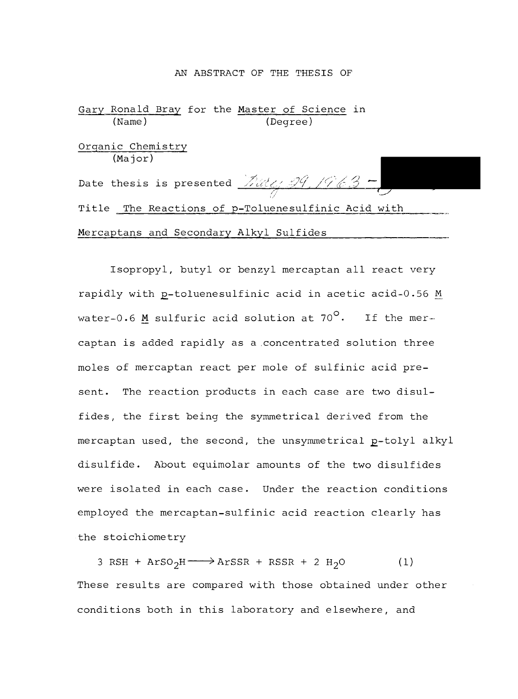#### AN ABSTRACT OF THE THESIS OF

Gary Ronald Bray for the Master of Science in (Name) (Degree) Organic Chemistry (Major) Title The Reactions of p-Toluenesulfinic Acid with Mercaptans and Secondary Alkyl Sulfides Date thesis is presented  $\frac{\mathcal{Z}_{\mathcal{U}\mathcal{U}_{\mathcal{U}}}}{\mathcal{Y}\mathcal{Y}}$  /963 -

Isopropyl, butyl or benzyl mercaptan all react very rapidly with p-toluenesulfinic acid in acetic acid-0.56 M water-0.6 M sulfuric acid solution at  $70^{\circ}$ . If the mercaptan is added rapidly as a concentrated solution three moles of mercaptan react per mole of sulfinic acid present. The reaction products in each case are two disulfides, the first being the symmetrical derived from the mercaptan used, the second, the unsymmetrical p-tolyl alkyl disulfide. About equimolar amounts of the two disulfides were isolated in each case. Under the reaction conditions employed the mercaptan -sulfinic acid reaction clearly has the stoichiometry

 $3 RSH + ArSO<sub>2</sub>H \longrightarrow ArSSR + RSSR + 2 H<sub>2</sub>O$  (1) These results are compared with those obtained under other conditions both in this laboratory and elsewhere, and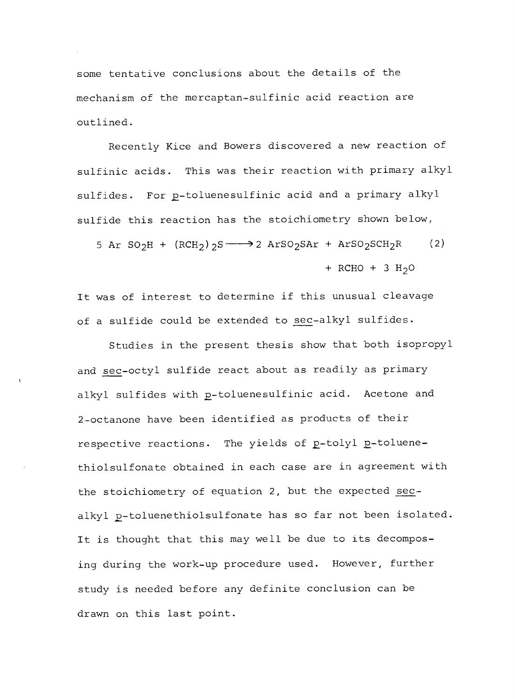some tentative conclusions about the details of the mechanism of the mercaptan -sulfinic acid reaction are outlined.

Recently Kice and Bowers discovered a new reaction of sulfinic acids. This was their reaction with primary alkyl sulfides. For p-toluenesulfinic acid and a primary alkyl sulfide this reaction has the stoichiometry shown below,

5 Ar SO<sub>2</sub>H + (RCH<sub>2</sub>)<sub>2</sub>S  $\longrightarrow$  2 ArSO<sub>2</sub>SAr + ArSO<sub>2</sub>SCH<sub>2</sub>R (2) + RCHO + 3  $H_2O$ 

It was of interest to determine if this unusual cleavage of a sulfide could be extended to sec-alkyl sulfides.

Studies in the present thesis show that both isopropyl and sec-octyl sulfide react about as readily as primary alkyl sulfides with p-toluenesulfinic acid. Acetone and 2- octanone have been identified as products of their respective reactions. The yields of p-tolyl p-toluenethiolsulfonate obtained in each case are in agreement with the stoichiometry of equation 2, but the expected secalkyl p-toluenethiolsulfonate has so far not been isolated. It is thought that this may well be due to its decomposing during the work-up procedure used. However, further study is needed before any definite conclusion can be drawn on this last point.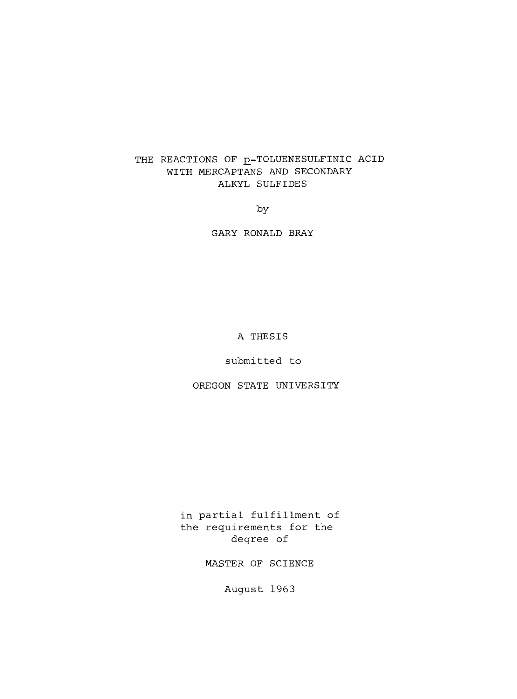## THE REACTIONS OF **p-TOLUENESULFINIC ACID** WITH MERCAPTANS AND SECONDARY ALKYL SULFIDES

by

GARY RONALD BRAY

A THESIS

submitted to

OREGON STATE UNIVERSITY

in partial fulfillment of the requirements for the degree of

MASTER OF SCIENCE

August 1963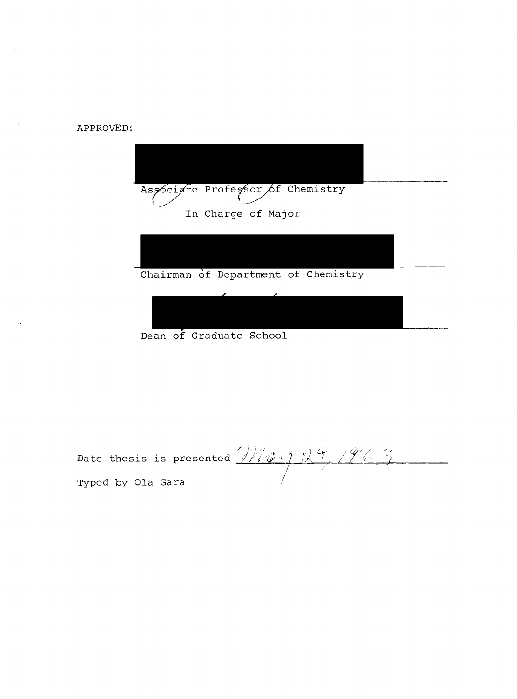APPROVED:



Dean of Graduate School

Date thesis is presented  $\cancel{f\mathcal{H}}\phi\rightarrow\mathcal{H}\rightarrow\mathcal{H}$ Typed by Ola Gara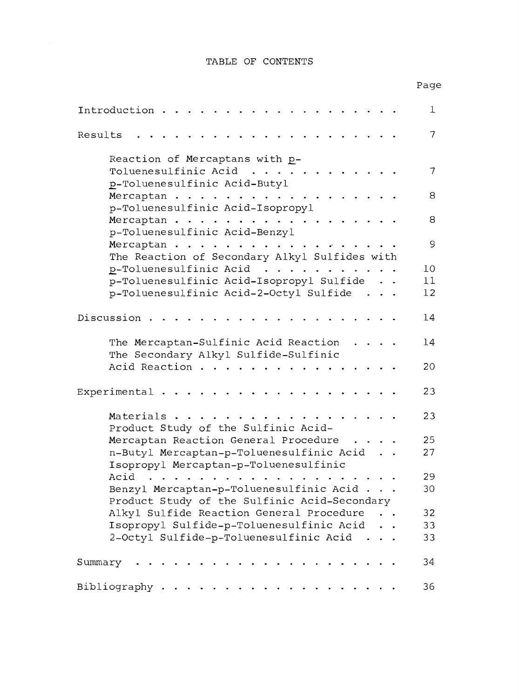## TABLE OF CONTENTS

## Page

| Introduction                                                                                                                                                                 | $\mathbf 1$ |
|------------------------------------------------------------------------------------------------------------------------------------------------------------------------------|-------------|
| Results                                                                                                                                                                      | 7           |
| Reaction of Mercaptans with p-                                                                                                                                               |             |
| Toluenesulfinic Acid<br>p-Toluenesulfinic Acid-Butyl                                                                                                                         | 7           |
| Mercaptan<br>p-Toluenesulfinic Acid-Isopropyl                                                                                                                                | 8           |
| Mercaptan<br>p-Toluenesulfinic Acid-Benzyl                                                                                                                                   | 8           |
| Mercaptan<br>The Reaction of Secondary Alkyl Sulfides with                                                                                                                   | 9           |
| p-Toluenesulfinic Acid                                                                                                                                                       | 10          |
| p-Toluenesulfinic Acid-Isopropyl Sulfide                                                                                                                                     | 11          |
| p-Toluenesulfinic Acid-2-Octyl Sulfide                                                                                                                                       | 12          |
|                                                                                                                                                                              |             |
| Discussion                                                                                                                                                                   | 14          |
| The Mercaptan-Sulfinic Acid Reaction<br>$\sim$ $\sim$ $\sim$ $\sim$<br>The Secondary Alkyl Sulfide-Sulfinic                                                                  | 14          |
| Acid Reaction                                                                                                                                                                | 20          |
| Experimental $\cdots$                                                                                                                                                        | 23          |
| Materials<br>Product Study of the Sulfinic Acid-                                                                                                                             | 23          |
| Mercaptan Reaction General Procedure                                                                                                                                         | 25          |
| n-Butyl Mercaptan-p-Toluenesulfinic Acid                                                                                                                                     | 27          |
| Isopropyl Mercaptan-p-Toluenesulfinic                                                                                                                                        |             |
| Acid<br>$\sim$ $\sim$ $\sim$ $\sim$ $\sim$ $\sim$                                                                                                                            | 29          |
| Benzyl Mercaptan-p-Toluenesulfinic Acid                                                                                                                                      | 30          |
| Product Study of the Sulfinic Acid-Secondary                                                                                                                                 |             |
| Alkyl Sulfide Reaction General Procedure                                                                                                                                     | 32          |
|                                                                                                                                                                              |             |
| Isopropyl Sulfide-p-Toluenesulfinic Acid                                                                                                                                     | 33          |
| 2-Octyl Sulfide-p-Toluenesulfinic Acid                                                                                                                                       | 33          |
| Summary<br>$\begin{array}{cccccccccccccc} \bullet & \bullet & \bullet & \bullet & \bullet & \bullet & \bullet & \bullet & \bullet & \bullet & \bullet & \bullet \end{array}$ | 34          |
| Bibliography                                                                                                                                                                 | 36          |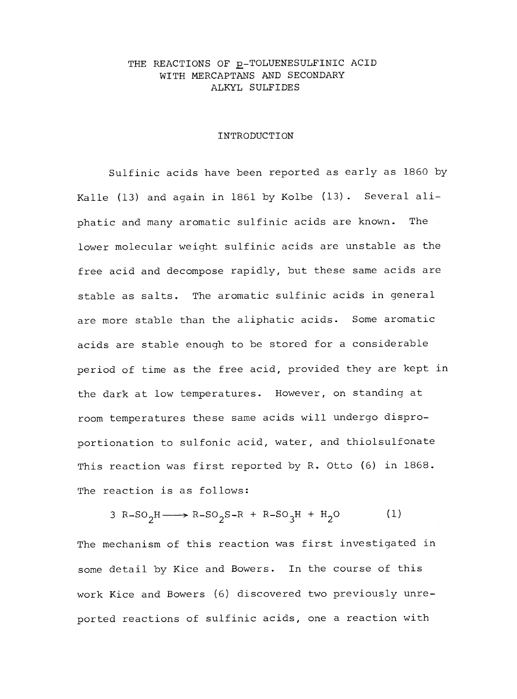## THE REACTIONS OF p-TOLUENESULFINIC ACID WITH MERCAPTANS AND SECONDARY ALKYL SULFIDES

#### INTRODUCTION

Sulfinic acids have been reported as early as 1860 by Kalle (13) and again in 1861 by Kolbe (13). Several aliphatic and many aromatic sulfinic acids are known. The lower molecular weight sulfinic acids are unstable as the free acid and decompose rapidly, but these same acids are stable as salts. The aromatic sulfinic acids in general are more stable than the aliphatic acids. Some aromatic acids are stable enough to be stored for a considerable period of time as the free acid, provided they are kept in the dark at low temperatures. However, on standing at room temperatures these same acids will undergo disproportionation to sulfonic acid, water, and thiolsulfonate This reaction was first reported by R. Otto (6) in 1868. The reaction is as follows:

3 R-SO<sub>2</sub>H- $\longrightarrow$  R-SO<sub>2</sub>S-R + R-SO<sub>3</sub>H + H<sub>2</sub>O (1) The mechanism of this reaction was first investigated in some detail by Kice and Bowers. In the course of this work Kice and Bowers (6) discovered two previously unreported reactions of sulfinic acids, one a reaction with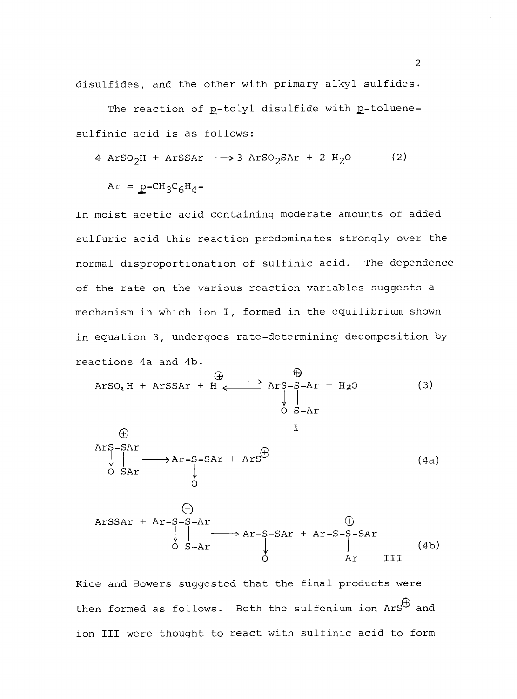disulfides, and the other with primary alkyl sulfides.

The reaction of p-tolyl disulfide with p-toluenesulfinic acid is as follows:

$$
4 \text{ ArSO}_2\text{H} + \text{ArSSAr} \longrightarrow 3 \text{ ArSO}_2\text{SAT} + 2 \text{ H}_2\text{O} \tag{2}
$$

$$
Ar = p - CH_3C_6H_4 -
$$

In moist acetic acid containing moderate amounts of added sulfuric acid this reaction predominates strongly over the normal disproportionation of sulfinic acid. The dependence of the rate on the various reaction variables suggests a mechanism in which ion I, formed in the equilibrium shown in equation 3, undergoes rate -determining decomposition by reactions 4a and 4b.

CD G ArSO2 H + ArSSAr + H <sup>&</sup>lt; <sup>&</sup>gt;ArSI -S-Ar + H20 <sup>y</sup><sup>I</sup>O S-Ar (3)

$$
\begin{array}{ccc}\n\oplus & & \downarrow \\
\text{ArS-SAr} & & \downarrow \\
\downarrow & & \downarrow \\
0 & \text{SAT} & & \downarrow \\
0 & & & \end{array}
$$
\n(4a)

 $\mathbf T$ 

$$
ATSSAr + Ar-S-S-Ar
$$
\n
$$
\begin{array}{ccc}\n\text{(*)} & & \text{(*)} \\
\downarrow & & \text{Ar}-S-SAr & & \text{Ar}-S-SAr \\
\downarrow & & \text{Ar}-S-SAr & & \text{Ar} \\
\downarrow & & \text{Ar} & & \text{III} \\
\downarrow & & & \text{Ar} & & \text{III}\n\end{array}
$$
\n
$$
(4b)
$$

Kice and Bowers suggested that the final products were then formed as follows. Both the sulfenium ion ArS $^\cup$  and ion III were thought to react with sulfinic acid to form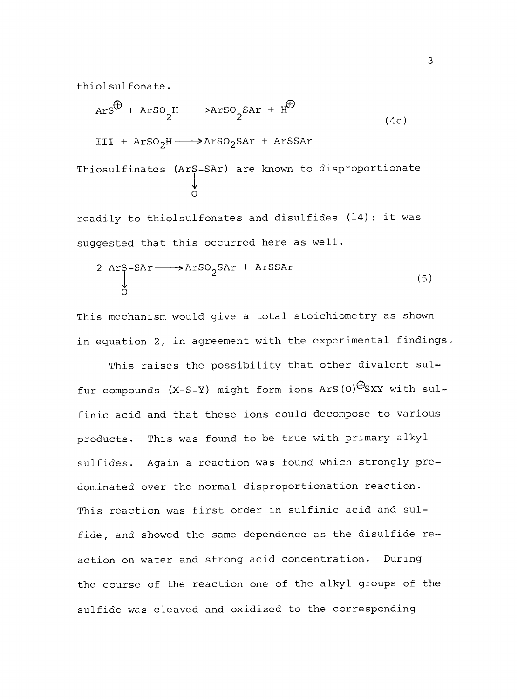thiolsulfonate.

$$
ArS^{\bigoplus} + ArSO_2^H \longrightarrow ArSO_2\text{SAT} + H^{\bigoplus}
$$
 (4c)

$$
III + \text{ArSO}_2H \longrightarrow \text{ArSO}_2\text{SAT} + \text{ArSSAr}
$$

$$
\begin{array}{cccc}\texttt{This} & \texttt{This} & \texttt{This} & \texttt{This} & \texttt{This} & \texttt{This} & \texttt{This} & \texttt{This} & \texttt{This} & \texttt{This} & \texttt{This} & \texttt{This} & \texttt{This} & \texttt{This} & \texttt{This} & \texttt{This} & \texttt{This} & \texttt{This} & \texttt{This} & \texttt{This} & \texttt{This} & \texttt{This} & \texttt{This} & \texttt{This} & \texttt{This} & \texttt{This} & \texttt{This} & \texttt{This} & \texttt{This} & \texttt{This} & \texttt{This} & \texttt{This} & \texttt{This} & \texttt{This} & \texttt{This} & \texttt{This} & \texttt{This} & \texttt{This} & \texttt{This} & \texttt{This} & \texttt{This} & \texttt{This} & \texttt{This} & \texttt{This} & \texttt{This} & \texttt{This} & \texttt{This} & \texttt{This} & \texttt{This} & \texttt{This} & \texttt{This} & \texttt{This} & \texttt{This} & \texttt{This} & \texttt{This} & \texttt{This} & \texttt{This} & \texttt{This} & \texttt{This} & \texttt{This} & \texttt{This} & \texttt{This} & \texttt{This} & \texttt{This} & \texttt{This} & \texttt{This} & \texttt{This} & \texttt{This} & \texttt{This} & \texttt{This} & \texttt{This} & \texttt{This} & \texttt{This} & \texttt{This} & \texttt{This} & \texttt{This} & \texttt{This} & \texttt{This} & \texttt{This} & \texttt{This} & \texttt{This} & \texttt{This} & \texttt{This} & \texttt{This} & \texttt{This} & \texttt{This} & \texttt{This} & \texttt{This} & \texttt{This} & \texttt{This} & \texttt{This} & \texttt{This} & \texttt{This} & \texttt{This} & \texttt{This} & \texttt{This} & \texttt{This} & \texttt{This} & \texttt{This} & \texttt{This} & \texttt{This} & \texttt{This} & \texttt{This} & \texttt{This} & \texttt{This} & \texttt{This} & \texttt{This} & \texttt{This
$$

readily to thiolsulfonates and disulfides (14); it was suggested that this occurred here as well.

$$
2 \text{ Arg-SAr} \longrightarrow \text{Arg} \, 2 \, \text{SAr} + \text{Arg} \, 2 \tag{5}
$$

This mechanism would give a total stoichiometry as shown in equation 2, in agreement with the experimental findings.

This raises the possibility that other divalent sulfur compounds  $(X-S-Y)$  might form ions ArS(O) $\bigoplus_{SXY}$  with sulfinic acid and that these ions could decompose to various products. This was found to be true with primary alkyl sulfides. Again a reaction was found which strongly predominated over the normal disproportionation reaction. This reaction was first order in sulfinic acid and sulfide, and showed the same dependence as the disulfide reaction on water and strong acid concentration. During the course of the reaction one of the alkyl groups of the sulfide was cleaved and oxidized to the corresponding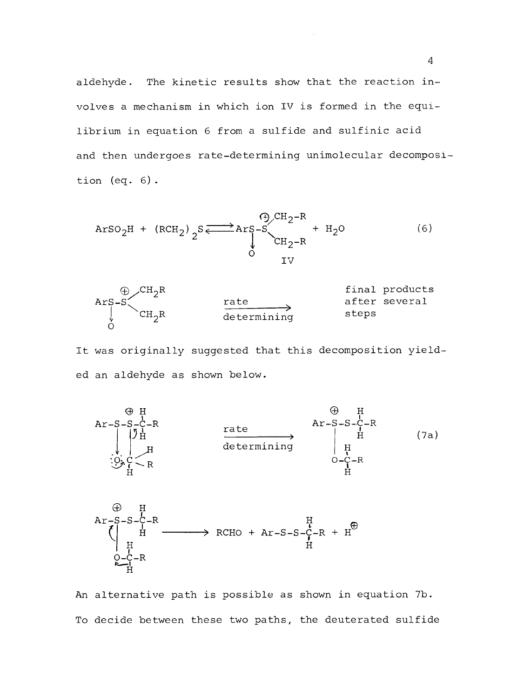aldehyde. The kinetic results show that the reaction involves a mechanism in which ion IV is formed in the equilibrium in equation 6 from a sulfide and sulfinic acid and then undergoes rate-determining unimolecular decomposition (eq. 6) .

$$
Arg_{2}H + (RCH_{2})_{2}S \xrightarrow{\text{Pr}} Arg-S \xrightarrow{\text{Pr}} H_{2}O
$$
\n(6)



It was originally suggested that this decomposition yielded an aldehyde as shown below.



An alternative path is possible as shown in equation 7b. To decide between these two paths, the deuterated sulfide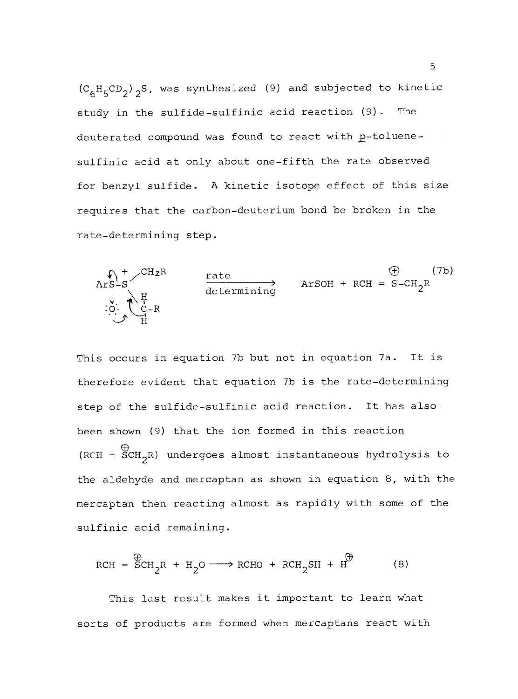$(C_6H_5CD_2)$ <sub>2</sub>S, was synthesized (9) and subjected to kinetic study in the sulfide-sulfinic acid reaction (9). The deuterated compound was found to react with p-toluenesulfinic acid at only about one-fifth the rate observed for benzyl sulfide. A kinetic isotope effect of this size requires that the carbon-deuterium bond be broken in the rate -determining step.



This occurs in equation 7b but not in equation 7a. It is therefore evident that equation 7b is the rate -determining step of the sulfide-sulfinic acid reaction. It has also been shown (9) that the ion formed in this reaction (RCH =  $\text{SCH}_2$ R) undergoes almost instantaneous hydrolysis to the aldehyde and mercaptan as shown in equation 8, with the mercaptan then reacting almost as rapidly with some of the sulfinic acid remaining.

$$
RCH = \overset{\bigoplus}{SCH}_2R + H_2O \longrightarrow RCHO + RCH_2SH + H \overset{\bigoplus}{H}
$$
 (8)

This last result makes it important to learn what sorts of products are formed when mercaptans react with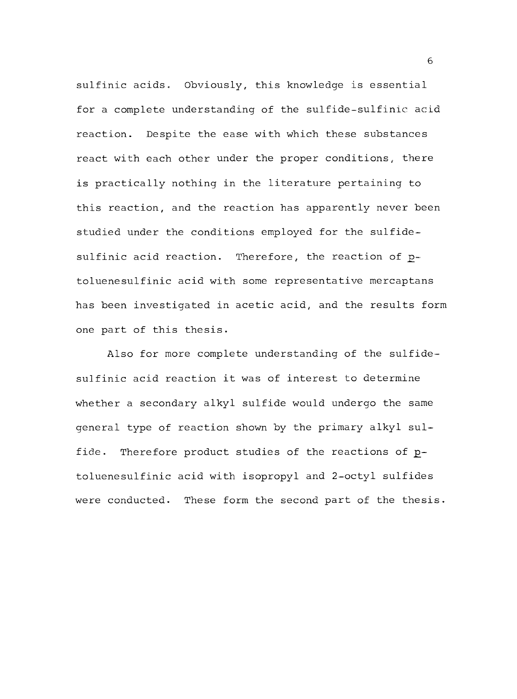sulfinic acids. Obviously, this knowledge is essential for a complete understanding of the sulfide-sulfinic acid reaction. Despite the ease with which these substances react with each other under the proper conditions, there is practically nothing in the literature pertaining to this reaction, and the reaction has apparently never been studied under the conditions employed for the sulfidesulfinic acid reaction. Therefore, the reaction of  $p$ toluenesulfinic acid with some representative mercaptans has been investigated in acetic acid, and the results form one part of this thesis.

Also for more complete understanding of the sulfidesulfinic acid reaction it was of interest to determine whether a secondary alkyl sulfide would undergo the same general type of reaction shown by the primary alkyl sulfide. Therefore product studies of the reactions of  $p$ toluenesulfinic acid with isopropyl and 2 -octyl sulfides were conducted. These form the second part of the thesis.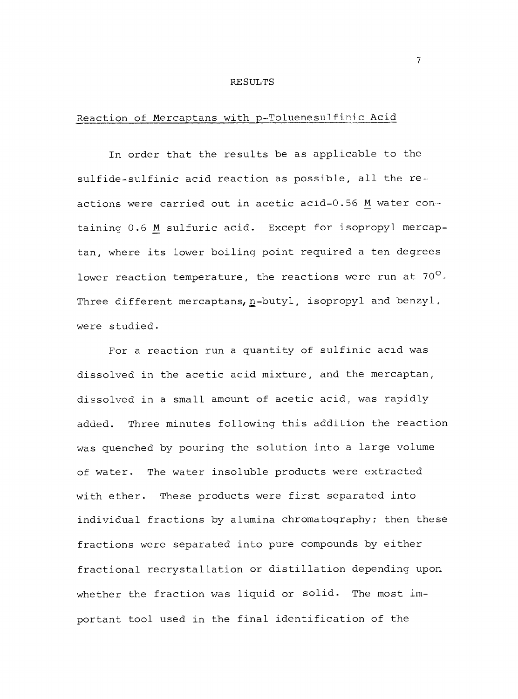#### RESULTS

## Reaction of Mercaptans with p-Toluenesulfinic Acid

In order that the results be as applicable to the sulfide-sulfinic acid reaction as possible, all the reactions were carried out in acetic acid-0.56 M water containing 0.6 M sulfuric acid. Except for isopropyl mercaptan, where its lower boiling point required a ten degrees lower reaction temperature, the reactions were run at 70 $^{\circ}$ . Three different mercaptans, n-butyl, isopropyl and benzyl, were studied.

For a reaction run a quantity of sulfinic acid was dissolved in the acetic acid mixture, and the mercaptan, dissolved in a small amount of acetic acid, was rapidly added. Three minutes following this addition the reaction was quenched by pouring the solution into a large volume of water. The water insoluble products were extracted with ether. These products were first separated into individual fractions by alumina chromatography; then these fractions were separated into pure compounds by either fractional recrystallation or distillation depending upon whether the fraction was liquid or solid. The most important tool used in the final identification of the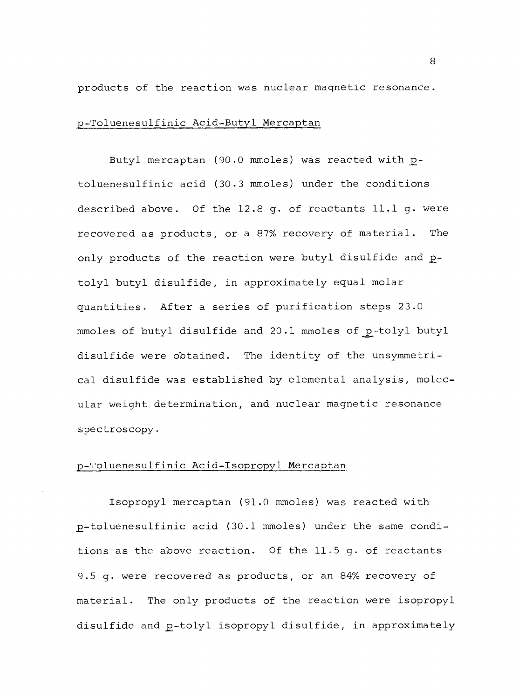products of the reaction was nuclear magnetic resonance.

#### p- Toluenesulfinic Acid -Butyl Mercaptan

Butyl mercaptan (90.0 mmoles) was reacted with ptoluenesulfinic acid (30.3 mmoles) under the conditions described above. Of the 12.8 g. of reactants 11.1 g. were recovered as products, or a 87% recovery of material. The only products of the reaction were butyl disulfide and ptolyl butyl disulfide, in approximately equal molar quantities. After a series of purification steps 23.0 mmoles of butyl disulfide and 20.1 mmoles of p-tolyl butyl disulfide were obtained. The identity of the unsymmetrical disulfide was established by elemental analysis, molecular weight determination, and nuclear magnetic resonance spectroscopy.

## p- Toluenesulfinic Acid -Isopropyl Mercaptan

Isopropyl mercaptan (91.0 mmoles) was reacted with p- toluenesulfinic acid (30.1 mmoles) under the same conditions as the above reaction. Of the 11.5 g. of reactants 9.5 g. were recovered as products, or an 84% recovery of material. The only products of the reaction were isopropyl disulfide and p-tolyl isopropyl disulfide, in approximately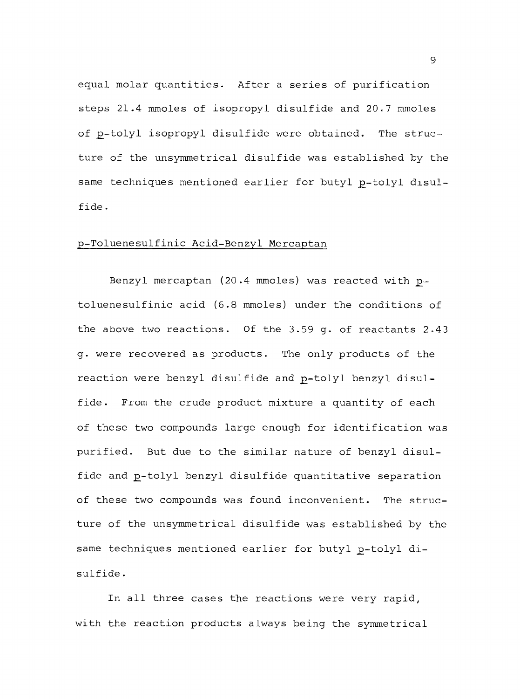equal molar quantities. After a series of purification steps 21.4 mmoles of isopropyl disulfide and 20.7 mmoles of p-tolyl isopropyl disulfide were obtained. The structure of the unsymmetrical disulfide was established by the same techniques mentioned earlier for butyl p-tolyl disulfide.

#### p- Toluenesulfinic Acid -Benzyl Mercaptan

Benzyl mercaptan (20.4 mmoles) was reacted with  $p$ toluenesulfinic acid (6.8 mmoles) under the conditions of the above two reactions. Of the 3.59 g. of reactants 2.43 g. were recovered as products. The only products of the reaction were benzyl disulfide and p-tolyl benzyl disulfide. From the crude product mixture a quantity of each of these two compounds large enough for identification was purified. But due to the similar nature of benzyl disulfide and p-tolyl benzyl disulfide quantitative separation of these two compounds was found inconvenient. The structure of the unsymmetrical disulfide was established by the same techniques mentioned earlier for butyl p-tolyl disulfide.

In all three cases the reactions were very rapid, with the reaction products always being the symmetrical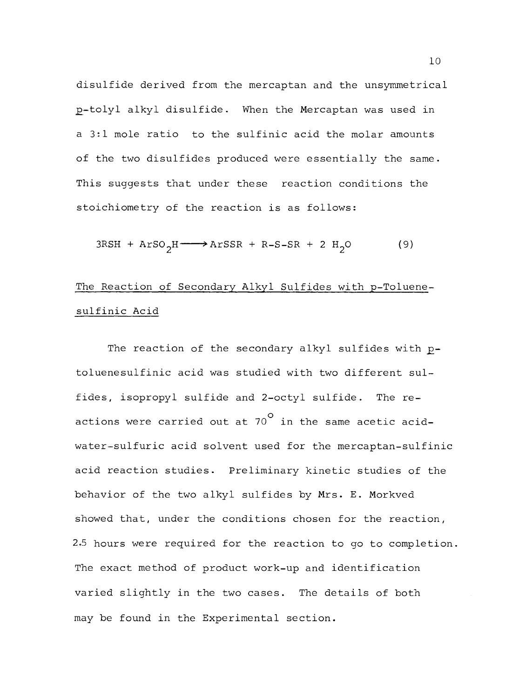disulfide derived from the mercaptan and the unsymmetrical p-tolyl alkyl disulfide. When the Mercaptan was used in a 3:1 mole ratio to the sulfinic acid the molar amounts of the two disulfides produced were essentially the same. This suggests that under these reaction conditions the stoichiometry of the reaction is as follows:

$$
3RSH + ArSO_2H \longrightarrow ArSSR + R-S-SR + 2 H_2O
$$
 (9)

# The Reaction of Secondary Alkyl Sulfides with p-Toluenesulfinic Acid

The reaction of the secondary alkyl sulfides with ptoluenesulfinic acid was studied with two different sulfides, isopropyl sulfide and 2-octyl sulfide. The reactions were carried out at  $70^\mathsf{O}$  in the same acetic acidwater-sulfuric acid solvent used for the mercaptan-sulfinic acid reaction studies. Preliminary kinetic studies of the behavior of the two alkyl sulfides by Mrs. E. Morkved showed that, under the conditions chosen for the reaction, 2.5 hours were required for the reaction to go to completion. The exact method of product work-up and identification varied slightly in the two cases. The details of both may be found in the Experimental section.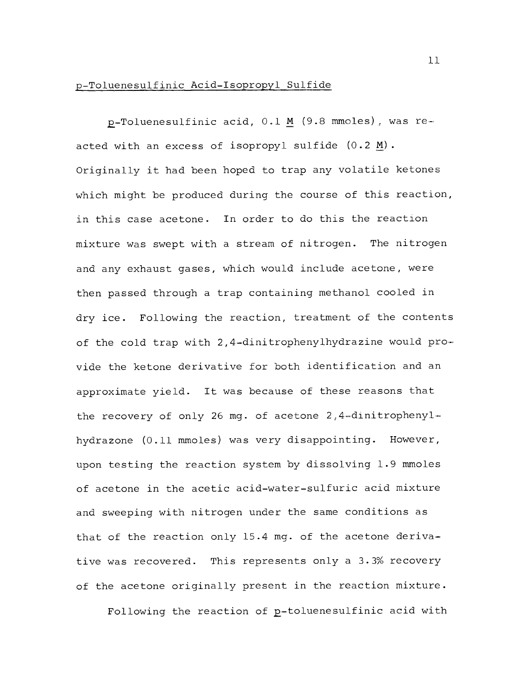## p- Toluenesulfinic Acid -Isopropyl Sulfide

 $p$ -Toluenesulfinic acid, 0.1 M (9.8 mmoles), was reacted with an excess of isopropyl sulfide  $(0.2 \text{ M})$ . Originally it had been hoped to trap any volatile ketones which might be produced during the course of this reaction, in this case acetone. In order to do this the reaction mixture was swept with a stream of nitrogen. The nitrogen and any exhaust gases, which would include acetone, were then passed through a trap containing methanol cooled in dry ice. Following the reaction, treatment of the contents of the cold trap with 2,4-dinitrophenylhydrazine would provide the ketone derivative for both identification and an approximate yield. It was because of these reasons that the recovery of only 26 mg. of acetone 2,4-dinitrophenylhydrazone (0.11 mmoles) was very disappointing. However, upon testing the reaction system by dissolving 1.9 mmoles of acetone in the acetic acid -water -sulfuric acid mixture and sweeping with nitrogen under the same conditions as that of the reaction only 15.4 mg. of the acetone derivative was recovered. This represents only a 3.3% recovery of the acetone originally present in the reaction mixture.

Following the reaction of p-toluenesulfinic acid with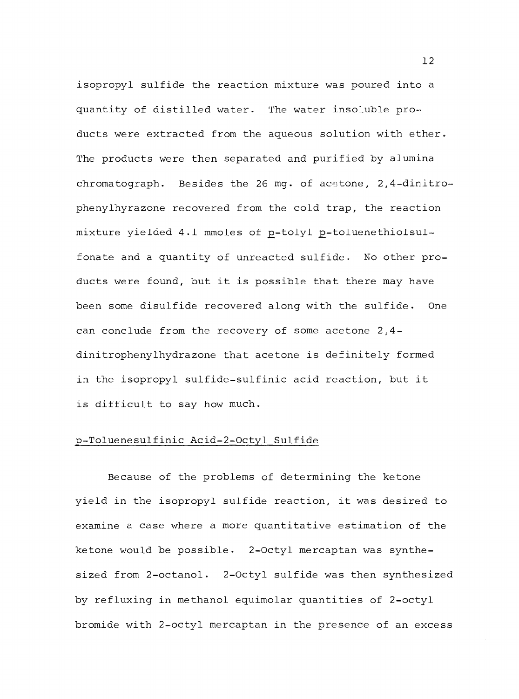isopropyl sulfide the reaction mixture was poured into a quantity of distilled water. The water insoluble products were extracted from the aqueous solution with ether. The products were then separated and purified by alumina chromatograph. Besides the 26 mg. of acetone, 2,4-dinitrophenylhyrazone recovered from the cold trap, the reaction mixture yielded 4.1 mmoles of p-tolyl p-toluenethiolsulfonate and a quantity of unreacted sulfide. No other products were found, but it is possible that there may have been some disulfide recovered along with the sulfide. One can conclude from the recovery of some acetone 2,4 dinitrophenylhydrazone that acetone is definitely formed in the isopropyl sulfide-sulfinic acid reaction, but it is difficult to say how much.

#### p- Toluenesulfinic Acid -2 -Octyl Sulfide

Because of the problems of determining the ketone yield in the isopropyl sulfide reaction, it was desired to examine a case where a more quantitative estimation of the ketone would be possible. 2 -Octyl mercaptan was synthesized from 2-octanol. 2-Octyl sulfide was then synthesized by refluxing in methanol equimolar quantities of 2 -octyl bromide with 2 -octyl mercaptan in the presence of an excess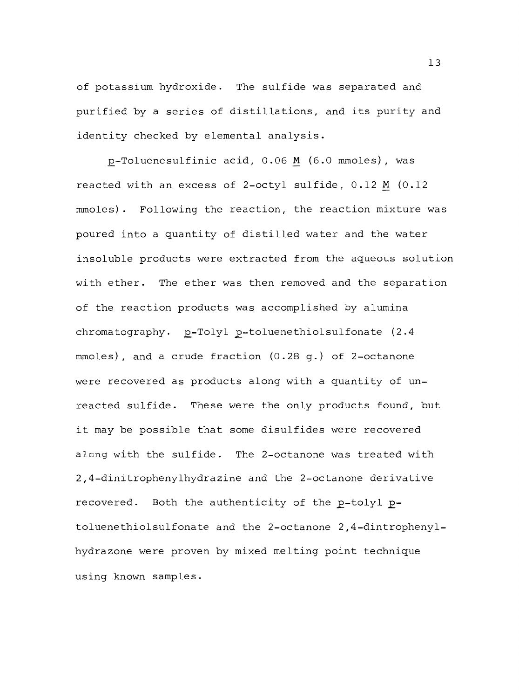of potassium hydroxide. The sulfide was separated and purified by a series of distillations, and its purity and identity checked by elemental analysis.

p- Toluenesulfinic acid, 0.06 M (6.0 mmoles), was reacted with an excess of 2 -octyl sulfide, 0.12 M (0.12 mmoles). Following the reaction, the reaction mixture was poured into a quantity of distilled water and the water insoluble products were extracted from the aqueous solution with ether. The ether was then removed and the separation of the reaction products was accomplished by alumina chromatography. p-Tolyl p-toluenethiolsulfonate (2.4 mmoles), and a crude fraction  $(0.28 \, \text{q.})$  of 2-octanone were recovered as products along with a quantity of unreacted sulfide. These were the only products found, but it may be possible that some disulfides were recovered along with the sulfide. The 2-octanone was treated with 2,4- dinitrophenylhydrazine and the 2- octanone derivative recovered. Both the authenticity of the p-tolyl ptoluenethiolsulfonate and the 2-octanone 2,4-dintrophenylhydrazone were proven by mixed melting point technique using known samples.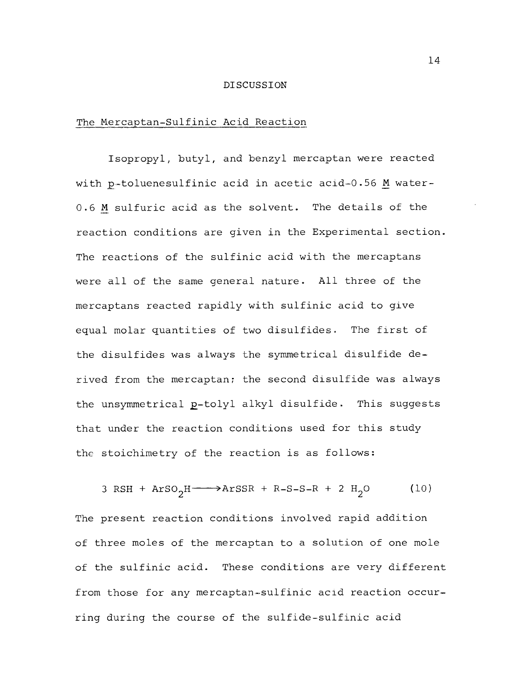#### **DISCUSSION**

#### The Mercaptan-Sulfinic Acid Reaction

Isopropyl, butyl, and benzyl mercaptan were reacted with p-toluenesulfinic acid in acetic acid-0.56 M water-0.6 M sulfuric acid as the solvent. The details of the reaction conditions are given in the Experimental section. The reactions of the sulfinic acid with the mercaptans were all of the same general nature. All three of the mercaptans reacted rapidly with sulfinic acid to give equal molar quantities of two disulfides. The first of the disulfides was always the symmetrical disulfide derived from the mercaptan; the second disulfide was always the unsymmetrical p-tolyl alkyl disulfide. This suggests that under the reaction conditions used for this study the stoichimetry of the reaction is as follows:

3 RSH +  $ArSO_2H \longrightarrow ArSSR + R-S-S-R + 2 H_2O$  (10)

The present reaction conditions involved rapid addition of three moles of the mercaptan to a solution of one mole of the sulfinic acid. These conditions are very different from those for any mercaptan-sulfinic acid reaction occurring during the course of the sulfide-sulfinic acid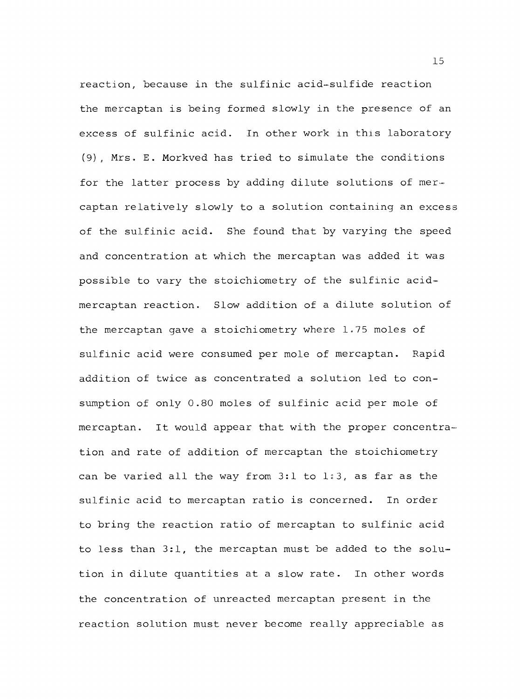reaction, because in the sulfinic acid-sulfide reaction the mercaptan is being formed slowly in the presence of an excess of sulfinic acid. In other work in this laboratory (9), Mrs. E. Morkved has tried to simulate the conditions for the latter process by adding dilute solutions of mercaptan relatively slowly to a solution containing an excess of the sulfinic acid. She found that by varying the speed and concentration at which the mercaptan was added it was possible to vary the stoichiometry of the sulfinic acidmercaptan reaction. Slow addition of a dilute solution of the mercaptan gave a stoichiometry where 1.75 moles of sulfinic acid were consumed per mole of mercaptan. Rapid addition of twice as concentrated a solution led to consumption of only 0.80 moles of sulfinic acid per mole of mercaptan. It would appear that with the proper concentration and rate of addition of mercaptan the stoichiometry can be varied all the way from 3:1 to 1:3, as far as the sulfinic acid to mercaptan ratio is concerned. In order to bring the reaction ratio of mercaptan to sulfinic acid to less than 3:1, the mercaptan must be added to the solution in dilute quantities at a slow rate. In other words the concentration of unreacted mercaptan present in the reaction solution must never become really appreciable as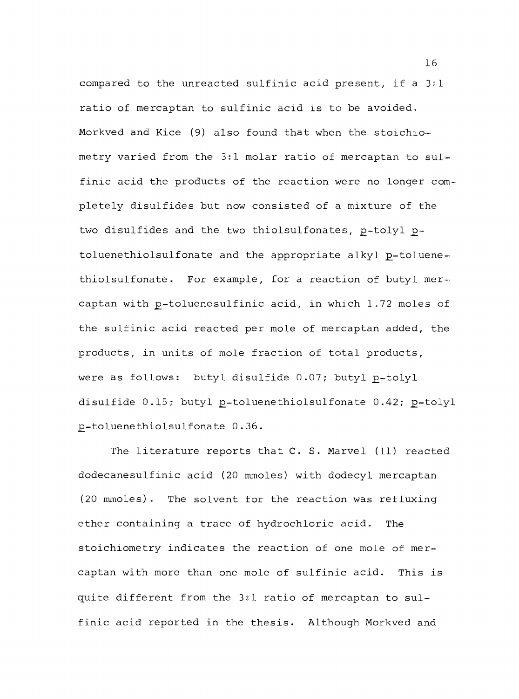compared to the unreacted sulfinic acid present, if a  $3:1$ ratio of mercaptan to sulfinic acid is to be avoided, Morkved and Kice (9) also found that when the stoichiometry varied from the 3:1 molar ratio of mercaptan to sulfinic acid the products of the reaction were no longer completely disulfides but now consisted of a mixture of the two disulfides and the two thiolsulfonates, p-tolyl ptoluenethiolsulfonate and the appropriate alkyl p-toluenethiolsulfonate. For example, for a reaction of butyl mercaptan with p-toluenesulfinic acid, in which 1.72 moles of the sulfinic acid reacted per mole of mercaptan added, the products, in units of mole fraction of total products, were as follows: butyl disulfide  $0.07$ ; butyl p-tolyl disulfide 0.15; butyl p-toluenethiolsulfonate 0.42; p-tolyl 2- toluenethiolsulfonate 0.36.

The literature reports that C. S. Marvel (11) reacted dodecanesulfinic acid (20 mmoles) with dodecyl mercaptan (20 mmoles). The solvent for the reaction was refluxing ether containing a trace of hydrochloric acid. The stoichiometry indicates the reaction of one mole of mercaptan with more than one mole of sulfinic acid. This is quite different from the 3:1 ratio of mercaptan to sulfinic acid reported in the thesis. Although Morkved and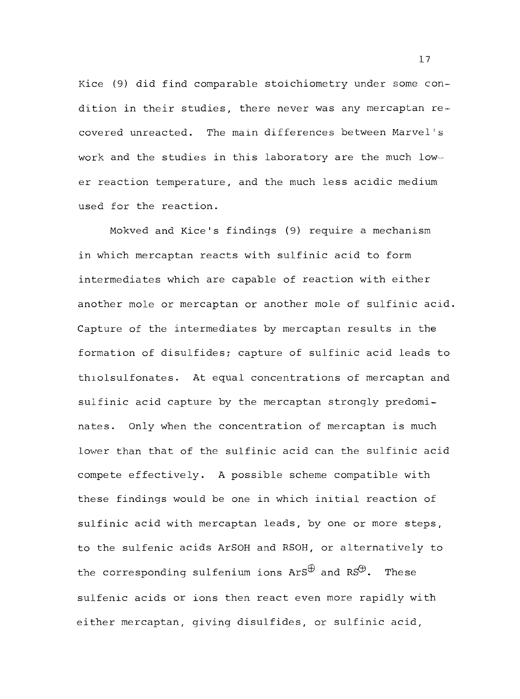Kice (9) did find comparable stoichiometry under some condition in their studies, there never was any mercaptan recovered unreacted. The main differences between Marvel's work and the studies in this laboratory are the much lower reaction temperature, and the much less acidic medium used for the reaction.

Mokved and Kice's findings (9) require a mechanism in which mercaptan reacts with sulfinic acid to form intermediates which are capable of reaction with either another mole or mercaptan or another mole of sulfinic acid. Capture of the intermediates by mercaptan results in the formation of disulfides; capture of sulfinic acid leads to thiolsulfonates. At equal concentrations of mercaptan and sulfinic acid capture by the mercaptan strongly predominates. Only when the concentration of mercaptan is much lower than that of the sulfinic acid can the sulfinic acid compete effectively. A possible scheme compatible with these findings would be one in which initial reaction of sulfinic acid with mercaptan leads, by one or more steps, to the sulfenic acids ArSOH and RSOH, or alternatively to the corresponding sulfenium ions  $\text{ArS}^{\oplus}$  and  $\text{RS}^{\oplus}$ . These sulfenic acids or ions then react even more rapidly with either mercaptan, giving disulfides, or sulfinic acid,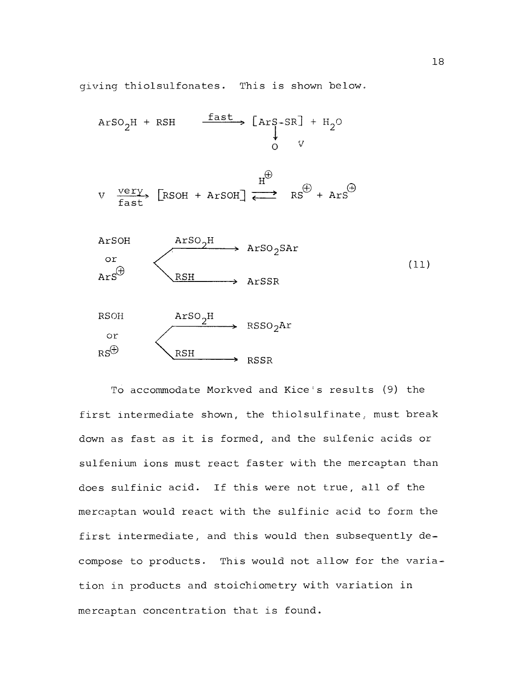giving thiolsulfonates. This is shown below.

$$
Arg_2H + RSH \xrightarrow{fast} [Arg-SR] + H_2O
$$

$$
V \xrightarrow{very} \text{[RSOH + ArSOH]} \overset{H^{\oplus}}{\longleftrightarrow} RS^{\oplus} + ArS^{\oplus}
$$



 $\sim$ 



To accommodate Morkved and Kice's results (9) the first intermediate shown, the thiolsulfinate, must break down as fast as it is formed, and the sulfenic acids or sulfenium ions must react faster with the mercaptan than does sulfinic acid. If this were not true, all of the mercaptan would react with the sulfinic acid to form the first intermediate, and this would then subsequently decompose to products. This would not allow for the variation in products and stoichiometry with variation in mercaptan concentration that is found.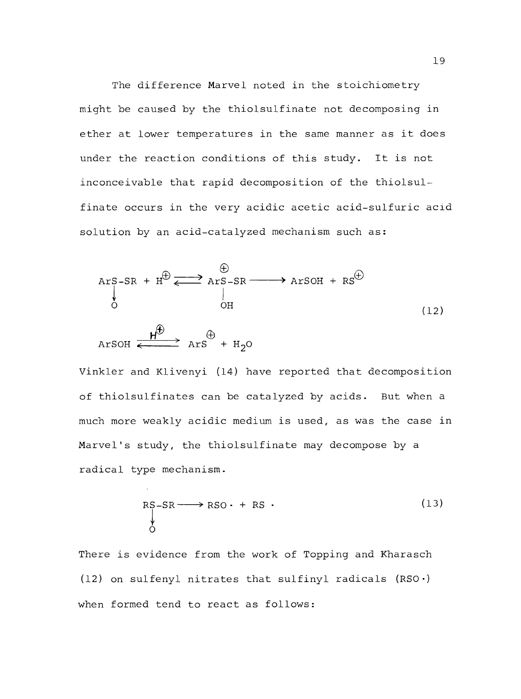The difference Marvel noted in the stoichiometry might be caused by the thiolsulfinate not decomposing in ether at lower temperatures in the same manner as it does under the reaction conditions of this study. It is not inconceivable that rapid decomposition of the thiolsulfinate occurs in the very acidic acetic acid-sulfuric acid solution by an acid-catalyzed mechanism such as:

$$
Arg-SR + H^{\oplus} \xrightarrow{\oplus} Arg-SR \xrightarrow{\oplus} ArgOH + RS^{\oplus}
$$
\n
$$
Arg \xrightarrow{\qquad} Arg \xrightarrow{\qquad} Arg \xrightarrow{\qquad} Arg \xrightarrow{\qquad} Arg \xrightarrow{\qquad} Arg \xrightarrow{\qquad} Arg \xrightarrow{\qquad} Arg \xrightarrow{\qquad} Arg \xrightarrow{\qquad} Arg \xrightarrow{\qquad} Arg \xrightarrow{\qquad} Arg \xrightarrow{\qquad} Arg \xrightarrow{\qquad} Arg \xrightarrow{\qquad} Arg \xrightarrow{\qquad} Arg \xrightarrow{\qquad} Arg \xrightarrow{\qquad} Arg \xrightarrow{\qquad} Arg \xrightarrow{\qquad} Arg \xrightarrow{\qquad} Arg \xrightarrow{\qquad} Arg \xrightarrow{\qquad} Arg \xrightarrow{\qquad} Arg \xrightarrow{\qquad} Arg \xrightarrow{\qquad} Arg \xrightarrow{\qquad} Arg \xrightarrow{\qquad} Arg \xrightarrow{\qquad} Arg \xrightarrow{\qquad} Arg \xrightarrow{\qquad} Arg \xrightarrow{\qquad} Arg \xrightarrow{\qquad} Arg \xrightarrow{\qquad} Arg \xrightarrow{\qquad} Arg \xrightarrow{\qquad} Arg \xrightarrow{\qquad} Arg \xrightarrow{\qquad} Arg \xrightarrow{\qquad} Arg \xrightarrow{\qquad} Arg \xrightarrow{\qquad} Arg \xrightarrow{\qquad} Arg \xrightarrow{\qquad} Arg \xrightarrow{\qquad} Arg \xrightarrow{\qquad} Arg \xrightarrow{\qquad} Arg \xrightarrow{\qquad} Arg \xrightarrow{\qquad} Arg \xrightarrow{\qquad} Arg \xrightarrow{\qquad} Arg \xrightarrow{\qquad} Arg \xrightarrow{\qquad} Arg \xrightarrow{\qquad} Arg \xrightarrow{\qquad} Arg \xrightarrow{\qquad} Arg \xrightarrow{\qquad} Arg \xrightarrow{\qquad} Arg \xrightarrow{\qquad} Arg \xrightarrow{\qquad} Arg \xrightarrow{\qquad} Arg \xrightarrow{\qquad} Arg \xrightarrow{\qquad} Arg \xrightarrow{\qquad} Arg \xrightarrow{\qquad} Arg \xrightarrow{\qquad} Arg \xrightarrow{\qquad} Arg \xrightarrow{\qquad} Arg \xrightarrow{\qquad} Arg \xrightarrow{\qquad} Arg \xrightarrow{\qquad} Arg \xrightarrow{\qquad} Arg \xrightarrow{\qquad} Arg \xrightarrow{\qquad} Arg \xrightarrow{\qquad} Arg \xrightarrow{\qquad} Arg \xrightarrow{\qquad} Arg \xrightarrow{\qquad} Arg \xrightarrow{\qquad} Arg \xrightarrow{\qquad} Arg \xrightarrow{\qquad} Arg \xrightarrow{\qquad} Arg \xrightarrow{\qquad} Arg \xrightarrow{\qquad} Arg \xrightarrow{\qquad} Arg \xrightarrow{\qquad} Arg \xrightarrow{\qquad} Arg \xrightarrow{\qquad} Arg \xrightarrow{\qquad} Arg \xrightarrow{\qquad} Arg \xrightarrow{\qquad} Arg \
$$

Vinkler and Klivenyi (14) have reported that decomposition of thiolsulfinates can be catalyzed by acids. But when a much more weakly acidic medium is used, as was the case in Marvel's study, the thiolsulfinate may decompose by a radical type mechanism.

$$
RS - SR \longrightarrow RSO \cdot + RS \cdot (13)
$$

There is evidence from the work of Topping and Kharasch (12) on sulfenyl nitrates that sulfinyl radicals  $(RSO·)$ when formed tend to react as follows: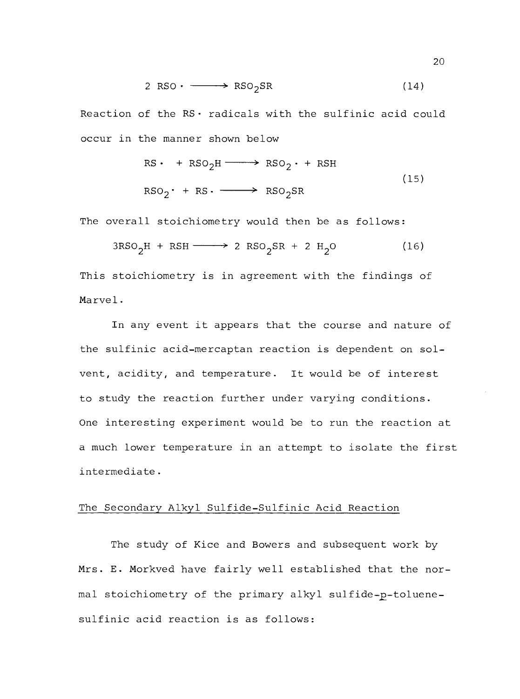$$
2 RSO \cdot \longrightarrow RSO_2SR \tag{14}
$$

Reaction of the  $RS \cdot$  radicals with the sulfinic acid could occur in the manner shown below

$$
RS \cdot + RSO_2H \longrightarrow RSO_2 \cdot + RSH
$$
\n
$$
RSO_2 \cdot + RS \cdot \longrightarrow RSO_2SR
$$
\n
$$
(15)
$$

The overall stoichiometry would then be as follows:

$$
3RSO_2H + RSH \longrightarrow 2 RSO_2SR + 2 H_2O \qquad (16)
$$

This stoichiometry is in agreement with the findings of Marvel.

In any event it appears that the course and nature of the sulfinic acid-mercaptan reaction is dependent on solvent, acidity, and temperature. It would be of interest to study the reaction further under varying conditions. One interesting experiment would be to run the reaction at a much lower temperature in an attempt to isolate the first intermediate.

## The Secondary Alkyl Sulfide-Sulfinic Acid Reaction

The study of Kice and Bowers and subsequent work by Mrs. E. Morkved have fairly well established that the normal stoichiometry of the primary alkyl sulfide-p-toluenesulfinic acid reaction is as follows: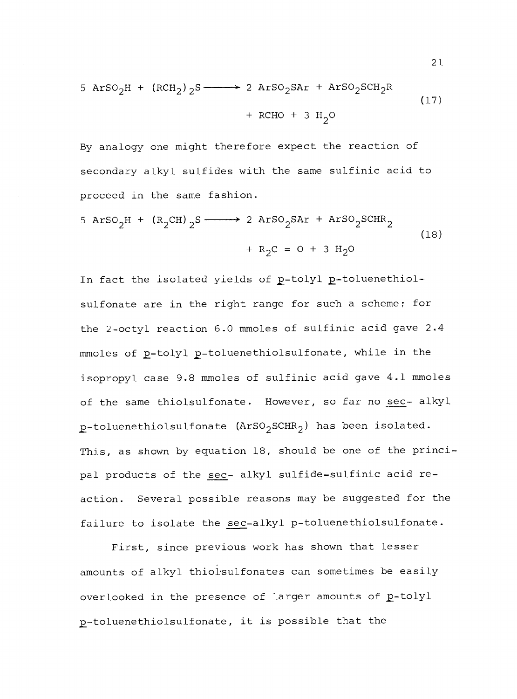$$
5 A r S O_2 H + (R CH_2) 2 S \longrightarrow 2 A r S O_2 S A r + A r S O_2 S CH_2 R
$$
\n
$$
+ R CHO + 3 H_2 O
$$
\n(17)

By analogy one might therefore expect the reaction of secondary alkyl sulfides with the same sulfinic acid to proceed in the same fashion.

$$
5 A r S O_2 H + (R_2 CH) _2 S \longrightarrow 2 A r S O_2 S A r + A r S O_2 S CH R_2
$$
\n
$$
+ R_2 C = 0 + 3 H_2 O
$$
\n(18)

In fact the isolated yields of p-tolyl p-toluenethiolsulfonate are in the right range for such a scheme; for the 2 -octyl reaction 6.0 mmoles of sulfinic acid gave 2.4 mmoles of p-tolyl p-toluenethiolsulfonate, while in the isopropyl case 9.8 mmoles of sulfinic acid gave 4.1 mmoles of the same thiolsulfonate. However, so far no sec- alkyl  $p$ -toluenethiolsulfonate (ArSO<sub>2</sub>SCHR<sub>2</sub>) has been isolated. This, as shown by equation 18, should be one of the principal products of the sec- alkyl sulfide-sulfinic acid reaction. Several possible reasons may be suggested for the failure to isolate the sec-alkyl p-toluenethiolsulfonate.

First, since previous work has shown that lesser amounts of alkyl thiolsulfonates can sometimes be easily overlooked in the presence of larger amounts of p-tolyl p-toluenethiolsulfonate, it is possible that the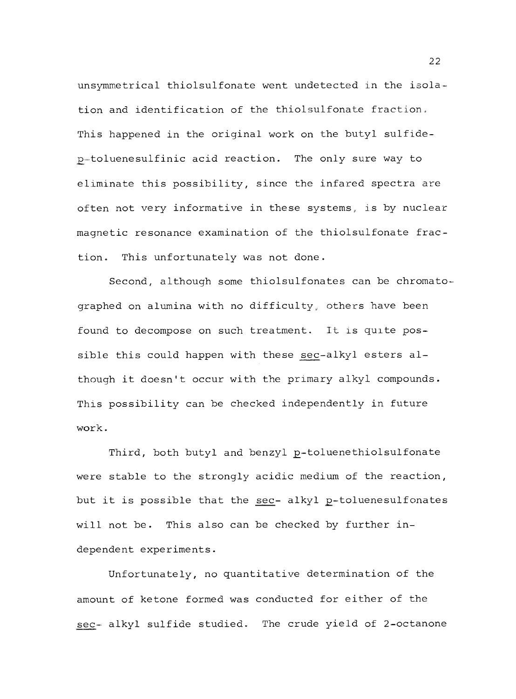unsymmetrical thiolsulfonate went undetected in the isolation and identification of the thiolsulfonate fraction. This happened in the original work on the butyl sulfidep-toluenesulfinic acid reaction. The only sure way to eliminate this possibility, since the infared spectra are often not very informative in these systems, is by nuclear magnetic resonance examination of the thiolsulfonate fraction. This unfortunately was not done.

Second, although some thiolsulfonates can be chromatographed on alumina with no difficulty, others have been found to decompose on such treatment. It is quite possible this could happen with these sec-alkyl esters although it doesn't occur with the primary alkyl compounds. This possibility can be checked independently in future work.

Third, both butyl and benzyl p-toluenethiolsulfonate were stable to the strongly acidic medium of the reaction, but it is possible that the sec- alkyl p-toluenesulfonates will not be. This also can be checked by further independent experiments.

Unfortunately, no quantitative determination of the amount of ketone formed was conducted for either of the sec- alkyl sulfide studied. The crude yield of 2-octanone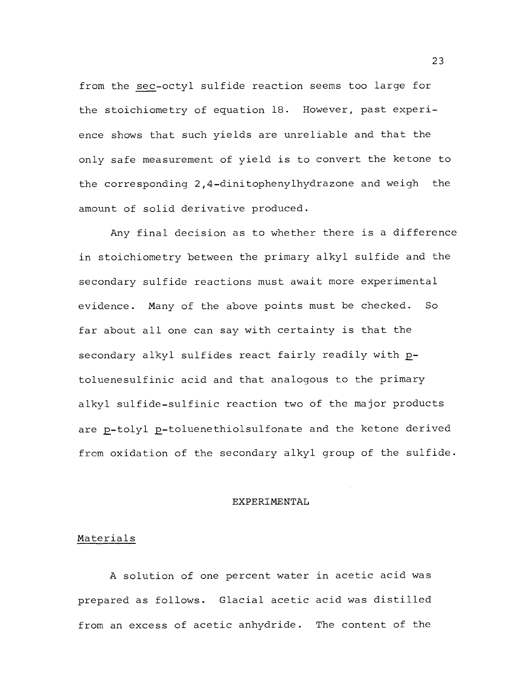from the sec-octyl sulfide reaction seems too large for the stoichiometry of equation 18. However, past experience shows that such yields are unreliable and that the only safe measurement of yield is to convert the ketone to the corresponding  $2, 4$ -dinitophenylhydrazone and weigh the amount of solid derivative produced.

Any final decision as to whether there is a difference in stoichiometry between the primary alkyl sulfide and the secondary sulfide reactions must await more experimental evidence. Many of the above points must be checked. So far about all one can say with certainty is that the secondary alkyl sulfides react fairly readily with ptoluenesulfinic acid and that analogous to the primary alkyl sulfide -sulfinic reaction two of the major products are p-tolyl p-toluenethiolsulfonate and the ketone derived from oxidation of the secondary alkyl group of the sulfide.

#### EXPERIMENTAL

#### Materials

A solution of one percent water in acetic acid was prepared as follows. Glacial acetic acid was distilled from an excess of acetic anhydride. The content of the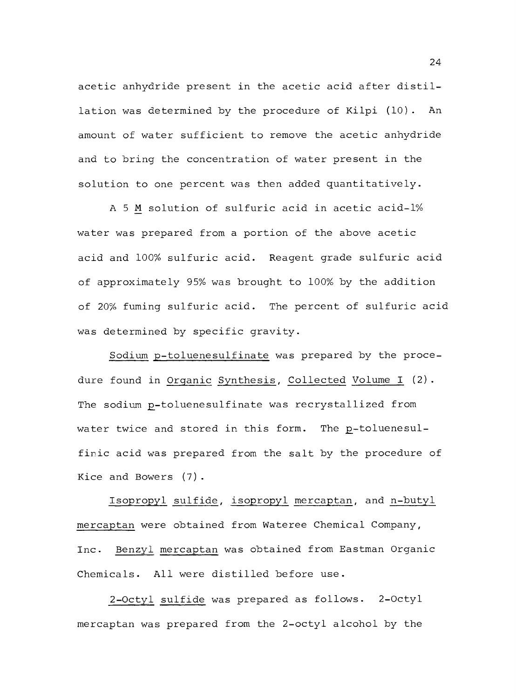acetic anhydride present in the acetic acid after distillation was determined by the procedure of Kilpi (10). An amount of water sufficient to remove the acetic anhydride and to bring the concentration of water present in the solution to one percent was then added quantitatively.

A 5 M solution of sulfuric acid in acetic acid-1% water was prepared from a portion of the above acetic acid and 100% sulfuric acid. Reagent grade sulfuric acid of approximately 95% was brought to 100% by the addition of 20% fuming sulfuric acid. The percent of sulfuric acid was determined by specific gravity.

Sodium p- toluenesulfinate was prepared by the procedure found in Organic Synthesis, Collected Volume I (2). The sodium p-toluenesulfinate was recrystallized from water twice and stored in this form. The p-toluenesulfinic acid was prepared from the salt by the procedure of Kice and Bowers (7).

Isopropyl sulfide, isopropyl mercaptan, and n-butyl mercaptan were obtained from Wateree Chemical Company, Inc. Benzyl mercaptan was obtained from Eastman Organic Chemicals. All were distilled before use.

2-Octyl sulfide was prepared as follows. 2-Octyl mercaptan was prepared from the 2 -octyl alcohol by the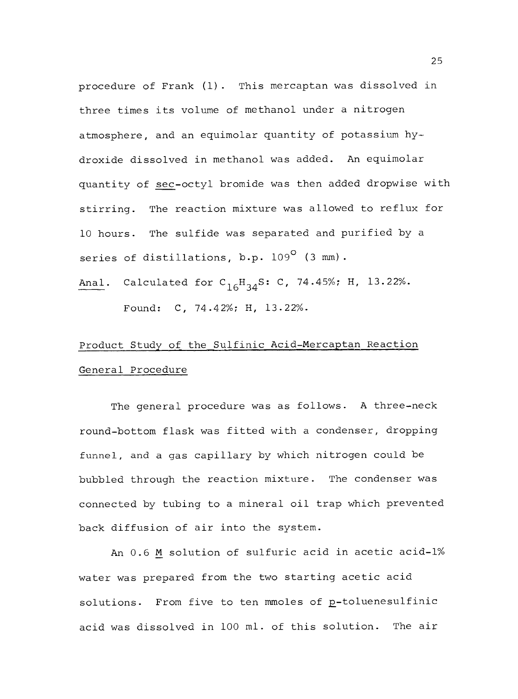procedure of Frank (1). This mercaptan was dissolved in three times its volume of methanol under a nitrogen atmosphere, and an equimolar quantity of potassium hydroxide dissolved in methanol was added. An equimolar quantity of sec-octyl bromide was then added dropwise with stirring. The reaction mixture was allowed to reflux for 10 hours. The sulfide was separated and purified by a series of distillations, b.p. 109<sup>0</sup> (3 mm).

Anal. Calculated for  $C_{16}H_{34}S: C$ , 74.45%; H, 13.22%. Found: C, 74.42%; H, 13.22%.

# Product Study of the Sulfinic Acid-Mercaptan Reaction General Procedure

The general procedure was as follows. A three-neck round -bottom flask was fitted with a condenser, dropping funnel, and a gas capillary by which nitrogen could be bubbled through the reaction mixture. The condenser was connected by tubing to a mineral oil trap which prevented back diffusion of air into the system.

An 0.6 M solution of sulfuric acid in acetic acid-1% water was prepared from the two starting acetic acid solutions. From five to ten mmoles of p-toluenesulfinic acid was dissolved in 100 ml. of this solution. The air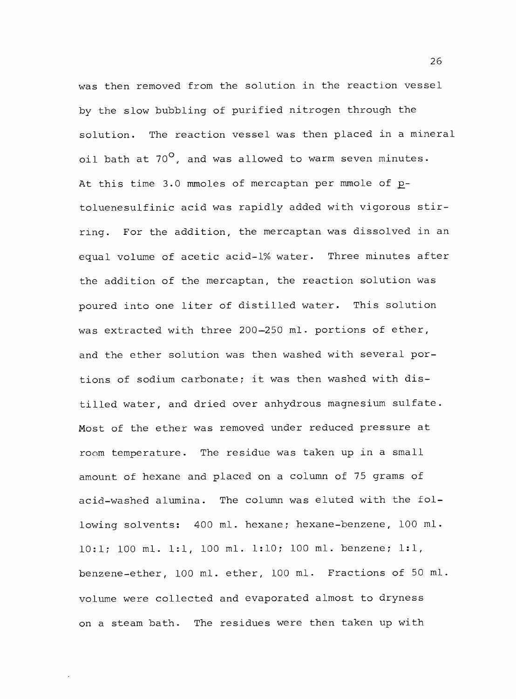was then removed from the solution in the reaction vessel by the slow bubbling of purified nitrogen through the solution. The reaction vessel was then placed in a mineral oil bath at  $70^{\circ}$ , and was allowed to warm seven minutes. At this time 3.0 mmoles of mercaptan per mmole of ptoluenesulfinic acid was rapidly added with vigorous stirring. For the addition, the mercaptan was dissolved in an equal volume of acetic acid-1% water. Three minutes after the addition of the mercaptan, the reaction solution was poured into one liter of distilled water. This solution was extracted with three 200-250 ml. portions of ether, and the ether solution was then washed with several portions of sodium carbonate; it was then washed with distilled water, and dried over anhydrous magnesium sulfate. Most of the ether was removed under reduced pressure at room temperature. The residue was taken up in a small amount of hexane and placed on a column of 75 grams of acid -washed alumina. The column was eluted with the following solvents: 400 ml. hexane; hexane -benzene, 100 ml. 10:1; 100 ml. 1:1, 100 ml. 1:10; 100 ml. benzene; 1:1, benzene -ether, 100 ml. ether, 100 ml. Fractions of 50 ml. volume were collected and evaporated almost to dryness on a steam bath. The residues were then taken up with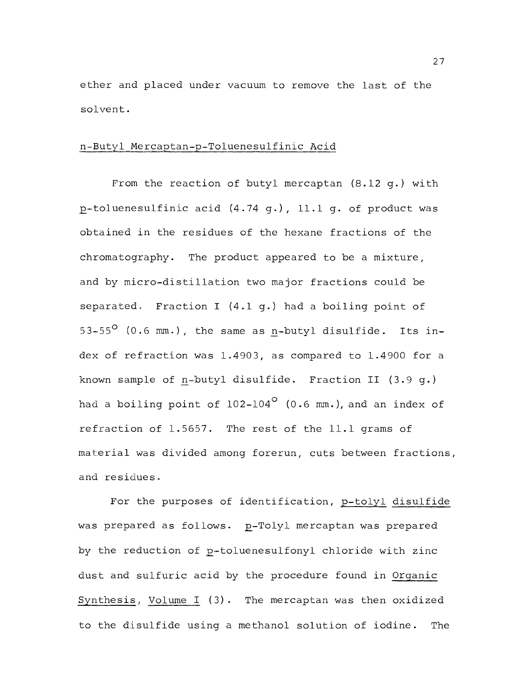ether and placed under vacuum to remove the last of the solvent.

#### n -Butyl Mercaptan-p- Toluenesulfinic Acid

From the reaction of butyl mercaptan (8.12 g.) with 2 toluenesulfinic acid (4.74 g.), 11.1 g. of product was obtained in the residues of the hexane fractions of the chromatography. The product appeared to be a mixture, and by micro-distillation two major fractions could be separated. Fraction I (4.1 g.) had a boiling point of 53-55 $^{\circ}$  (0.6 mm.), the same as n-butyl disulfide. Its index of refraction was 1.4903, as compared to 1.4900 for a known sample of n-butyl disulfide. Fraction II (3.9 q.) had a boiling point of  $102-104^\circ$  (0.6 mm.), and an index of refraction of 1.5657. The rest of the 11.1 grams of material was divided among forerun, cuts between fractions, and residues.

For the purposes of identification, p-tolyl disulfide was prepared as follows. p-Tolyl mercaptan was prepared by the reduction of p-toluenesulfonyl chloride with zinc dust and sulfuric acid by the procedure found in Organic Synthesis, Volume I (3). The mercaptan was then oxidized to the disulfide using a methanol solution of iodine. The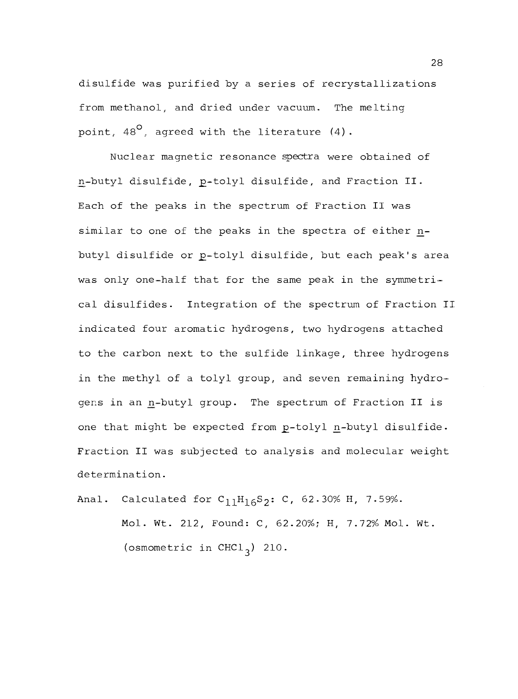disulfide was purified by a series of recrystallizations from methanol, and dried under vacuum. The melting point,  $48^\circ$ , agreed with the literature (4).

Nuclear magnetic resonance spectra were obtained of n-butyl disulfide, p-tolyl disulfide, and Fraction II. Each of the peaks in the spectrum of Fraction II was similar to one of the peaks in the spectra of either nbutyl disulfide or p-tolyl disulfide, but each peak's area was only one-half that for the same peak in the symmetrical disulfides. Integration of the spectrum of Fraction II indicated four aromatic hydrogens, two hydrogens attached to the carbon next to the sulfide linkage, three hydrogens in the methyl of a tolyl group, and seven remaining hydrogens in an n-butyl group. The spectrum of Fraction II is one that might be expected from p-tolyl n-butyl disulfide. Fraction II was subjected to analysis and molecular weight determination.

Anal. Calculated for  $C_{11}H_{16}S_2$ : C, 62.30% H, 7.59%.

Mol. Wt. 212, Found: C, 62.20%; H, 7.72% Mol. Wt. (osmometric in CHCl<sub>3</sub>) 210.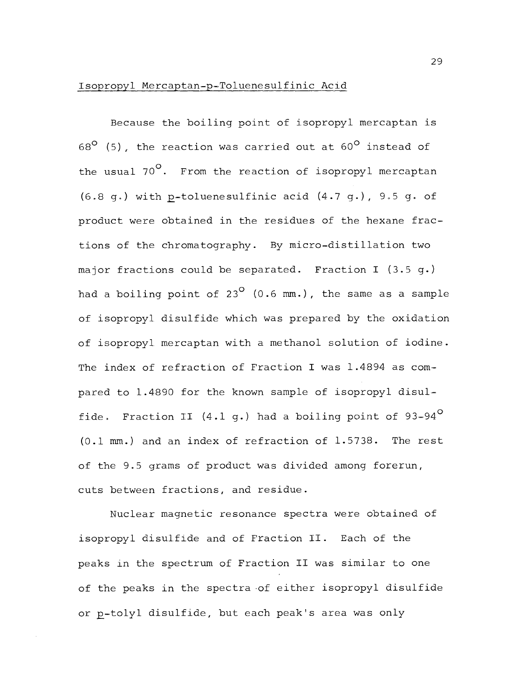## Isopropyl Mercaptan-p-Toluenesulfinic Acid

Because the boiling point of isopropyl mercaptan is  $68^{\circ}$  (5), the reaction was carried out at  $60^{\circ}$  instead of the usual 70°. From the reaction of isopropyl mercaptan (6.8 g.) with p-toluenesulfinic acid  $(4.7 q.)$ , 9.5 g. of product were obtained in the residues of the hexane fractions of the chromatography. By micro-distillation two major fractions could be separated. Fraction I (3.5 g.) had a boiling point of  $23^{\circ}$  (0.6 mm.), the same as a sample of isopropyl disulfide which was prepared by the oxidation of isopropyl mercaptan with a methanol solution of iodine. The index of refraction of Fraction I was 1.4894 as compared to 1.4890 for the known sample of isopropyl disulfide. Fraction II  $(4.1\text{ g.})$  had a boiling point of  $93-94^{\circ}$ (0.1 mm.) and an index of refraction of 1.5738. The rest of the 9.5 grams of product was divided among forerun, cuts between fractions, and residue.

Nuclear magnetic resonance spectra were obtained of isopropyl disulfide and of Fraction II. Each of the peaks in the spectrum of Fraction II was similar to one of the peaks in the spectra of either isopropyl disulfide or p-tolyl disulfide, but each peak's area was only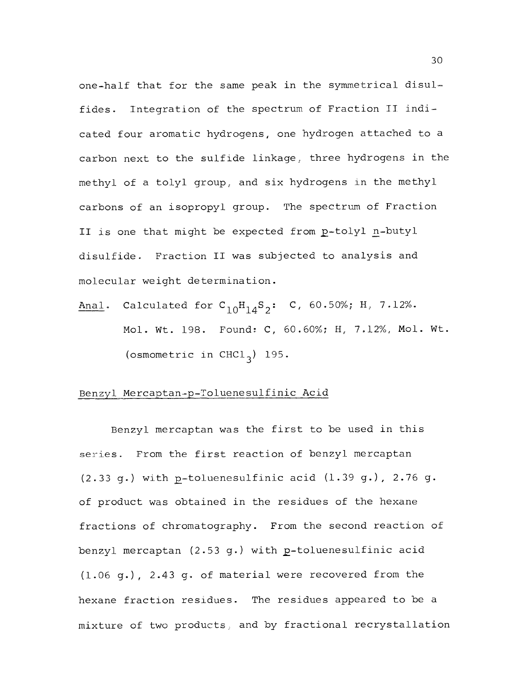one -half that for the same peak in the symmetrical disulfides. Integration of the spectrum of Fraction II indicated four aromatic hydrogens, one hydrogen attached to a carbon next to the sulfide linkage, three hydrogens in the methyl of a tolyl group, and six hydrogens in the methyl carbons of an isopropyl group. The spectrum of Fraction II is one that might be expected from p-tolyl n-butyl disulfide. Fraction II was subjected to analysis and molecular weight determination.

Anal. Calculated for  $C_{10}H_{14}S_2$ : C, 60.50%; H, 7.12%. Mol. Wt. 198. Found: C, 60.60%; H, 7.12%, Mol. Wt. (osmometric in CHCl<sub>3</sub>) 195.

## Benzyl Mercaptan-p-Toluenesulfinic Acid

Benzyl mercaptan was the first to be used in this series. From the first reaction of benzyl mercaptan  $(2.33 g.)$  with p-toluenesulfinic acid  $(1.39 g.)$ , 2.76 g. of product was obtained in the residues of the hexane fractions of chromatography. From the second reaction of benzyl mercaptan  $(2.53 g.)$  with p-toluenesulfinic acid (1.06 g.), 2.43 g. of material were recovered from the hexane fraction residues. The residues appeared to be a mixture of two products, and by fractional recrystallation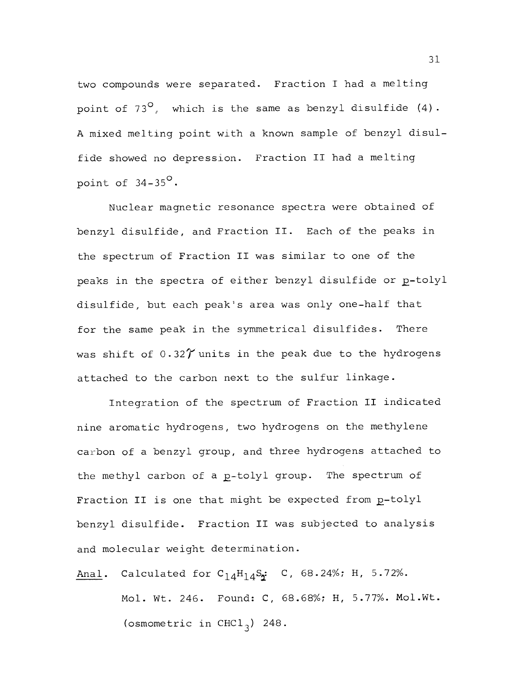two compounds were separated. Fraction I had a melting point of 73 $^{\circ}$ , which is the same as benzyl disulfide (4). A mixed melting point with a known sample of benzyl disulfide showed no depression. Fraction II had a melting point of  $34-35^\circ$ .

Nuclear magnetic resonance spectra were obtained of benzyl disulfide, and Fraction II. Each of the peaks in the spectrum of Fraction II was similar to one of the peaks in the spectra of either benzyl disulfide or p-tolyl disulfide, but each peak's area was only one -half that for the same peak in the symmetrical disulfides. There was shift of  $0.32\gamma$  units in the peak due to the hydrogens attached to the carbon next to the sulfur linkage.

Integration of the spectrum of Fraction II indicated nine aromatic hydrogens, two hydrogens on the methylene carbon of a benzyl group, and three hydrogens attached to the methyl carbon of a p-tolyl group. The spectrum of Fraction II is one that might be expected from p-tolyl benzyl disulfide. Fraction II was subjected to analysis and molecular weight determination.

Anal. Calculated for  $C_{14}H_{14}S_2$ : C, 68.24%; H, 5.72%. Mol. Wt. 246. Found: C, 68.68%; H, 5.77%. Mol.Wt. (osmometric in CHCl<sub>3</sub>) 248.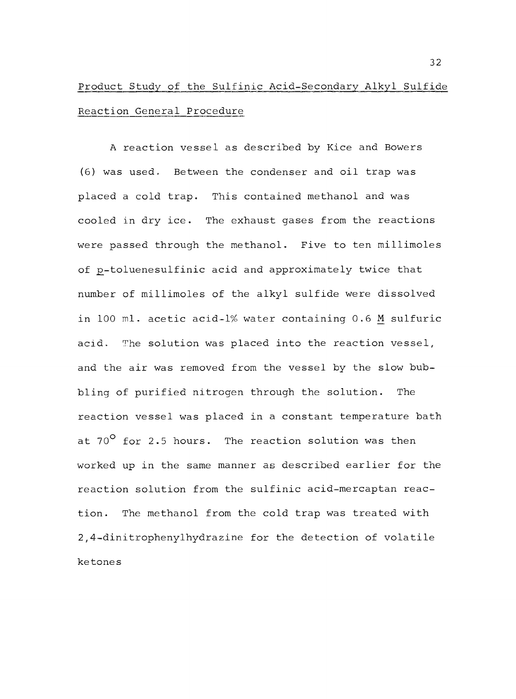# Product Study of the Sulfinic Acid-Secondary Alkyl Sulfide Reaction General Procedure

A reaction vessel as described by Kice and Bowers (6) was used. Between the condenser and oil trap was placed a cold trap. This contained methanol and was cooled in dry ice. The exhaust gases from the reactions were passed through the methanol. Five to ten millimoles of p-toluenesulfinic acid and approximately twice that number of millimoles of the alkyl sulfide were dissolved in 100 ml. acetic acid-1% water containing 0.6 M sulfuric acid. The solution was placed into the reaction vessel, and the air was removed from the vessel by the slow bubbling of purified nitrogen through the solution. The reaction vessel was placed in a constant temperature bath at  $70^{\circ}$  for 2.5 hours. The reaction solution was then worked up in the same manner as described earlier for the reaction solution from the sulfinic acid-mercaptan reaction. The methanol from the cold trap was treated with 2,4- dinitrophenylhydrazine for the detection of volatile ketones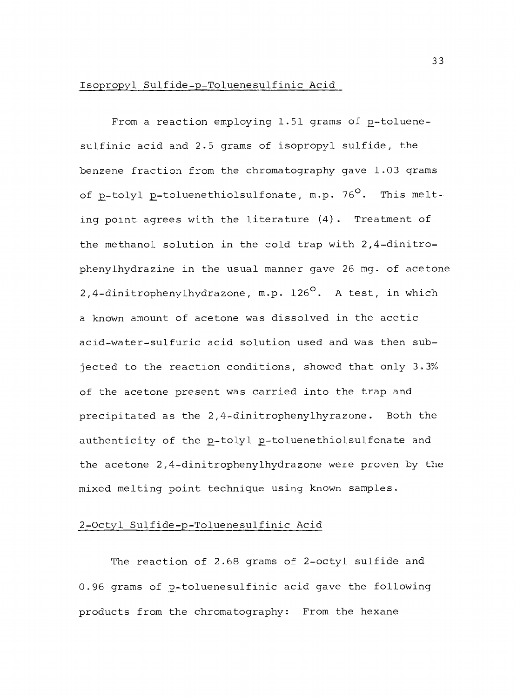## Isopropyl Sulfide -p- Toluenesulfinic Acid

From a reaction employing  $1.51$  grams of p-toluenesulfinic acid and 2.5 grams of isopropyl sulfide, the benzene fraction from the chromatography gave 1.03 grams of p-tolyl p-toluenethiolsulfonate, m.p. 76°. This melting point agrees with the literature (4). Treatment of the methanol solution in the cold trap with 2,4-dinitrophenylhydrazine in the usual manner gave 26 mg. of acetone 2,4-dinitrophenylhydrazone, m.p.  $126^{\circ}$ . A test, in which a known amount of acetone was dissolved in the acetic acid- water -sulfuric acid solution used and was then subjected to the reaction conditions, showed that only 3.3% of the acetone present was carried into the trap and precipitated as the 2,4-dinitrophenylhyrazone. Both the authenticity of the p-tolyl p-toluenethiolsulfonate and the acetone 2,4- dinitrophenylhydrazone were proven by the mixed melting point technique using known samples.

## <sup>2</sup>-Octyl Sulfide -p- Toluenesulfinic Acid

The reaction of 2.68 grams of 2-octyl sulfide and 0.96 grams of p-toluenesulfinic acid gave the following products from the chromatography: From the hexane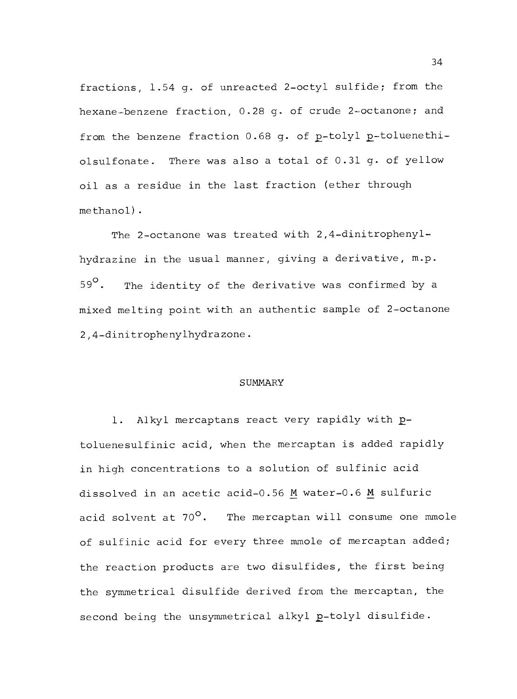fractions, 1.54 g. of unreacted 2 -octyl sulfide; from the hexane-benzene fraction, 0.28 g. of crude 2-octanone; and from the benzene fraction 0.68 g. of p-tolyl p-toluenethiolsulfonate. There was also a total of 0.31 g. of yellow oil as a residue in the last fraction (ether through methanol) .

The 2-octanone was treated with 2,4-dinitrophenylhydrazine in the usual manner, giving a derivative, m.p.  $59^\circ$ . The identity of the derivative was confirmed by a mixed melting point with an authentic sample of 2-octanone 2,4-dinitrophenylhydrazone.

#### SUMMARY

1. Alkyl mercaptans react very rapidly with ptoluenesulfinic acid, when the mercaptan is added rapidly in high concentrations to a solution of sulfinic acid dissolved in an acetic acid-0.56 M water-0.6 M sulfuric acid solvent at  $70^{\circ}$ . The mercaptan will consume one mmole of sulfinic acid for every three mmole of mercaptan added; the reaction products are two disulfides, the first being the symmetrical disulfide derived from the mercaptan, the second being the unsymmetrical alkyl p-tolyl disulfide.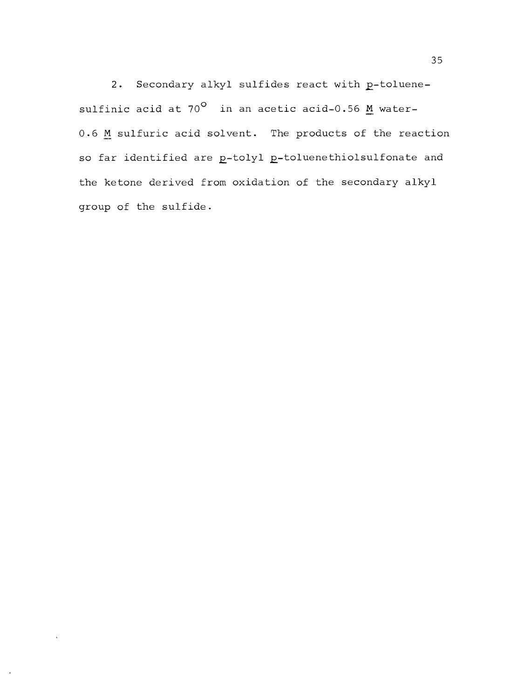2. Secondary alkyl sulfides react with p-toluenesulfinic acid at  $70^{\circ}$  in an acetic acid-0.56 M water-0.6 M sulfuric acid solvent. The products of the reaction so far identified are p-tolyl p-toluenethiolsulfonate and the ketone derived from oxidation of the secondary alkyl group of the sulfide.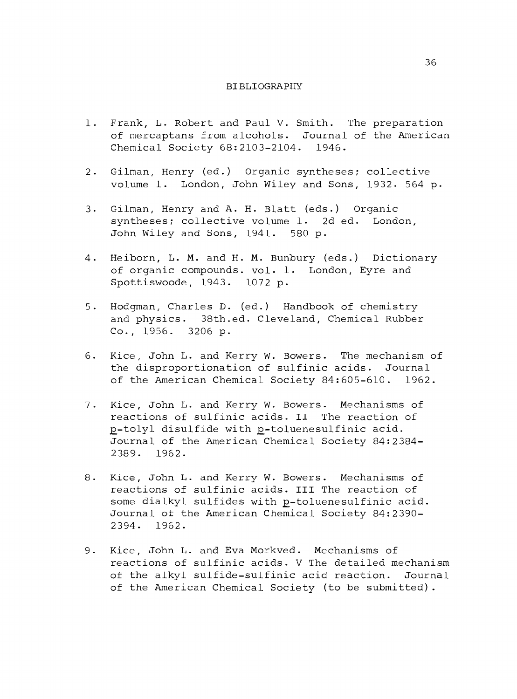#### BIBLIOGRAPHY

- 1. Frank, L. Robert and Paul V. Smith. The preparation of mercaptans from alcohols. Journal of the American Chemical Society 68:2103-2104. 1946.
- 2. Gilman, Henry (ed.) Organic syntheses; collective volume 1. London, John Wiley and Sons, 1932. 564 p.
- 3. Gilman, Henry and A. H. Blatt (eds.) Organic syntheses; collective volume 1. 2d ed. London, John Wiley and Sons, 1941. 580 p.
- 4. Heiborn, L. M. and H. M. Bunbury (eds.) Dictionary of organic compounds. vol. 1. London, Eyre and Spottiswoode, 1943. 1072 p.
- 5. Hodgman, Charles D. (ed.) Handbook of chemistry and physics. 38th.ed. Cleveland, Chemical Rubber Co., 1956. 3206 p.
- 6. Kice, John L. and Kerry W. Bowers. The mechanism of the disproportionation of sulfinic acids. Journal of the American Chemical Society 84:605-610. 1962.
- 7. Kice, John L. and Kerry W. Bowers. Mechanisms of reactions of sulfinic acids. II The reaction of p-tolyl disulfide with p-toluenesulfinic acid. Journal of the American Chemical Society 84:2384- 2389. 1962.
- 8. Kice, John L. and Kerry W. Bowers. Mechanisms of reactions of sulfinic acids. III The reaction of some dialkyl sulfides with p-toluenesulfinic acid. Journal of the American Chemical Society 84:2390- 2394. 1962.
- 9. Kice, John L. and Eva Morkved. Mechanisms of reactions of sulfinic acids. V The detailed mechanism of the alkyl sulfide -sulfinic acid reaction. Journal of the American Chemical Society (to be submitted).